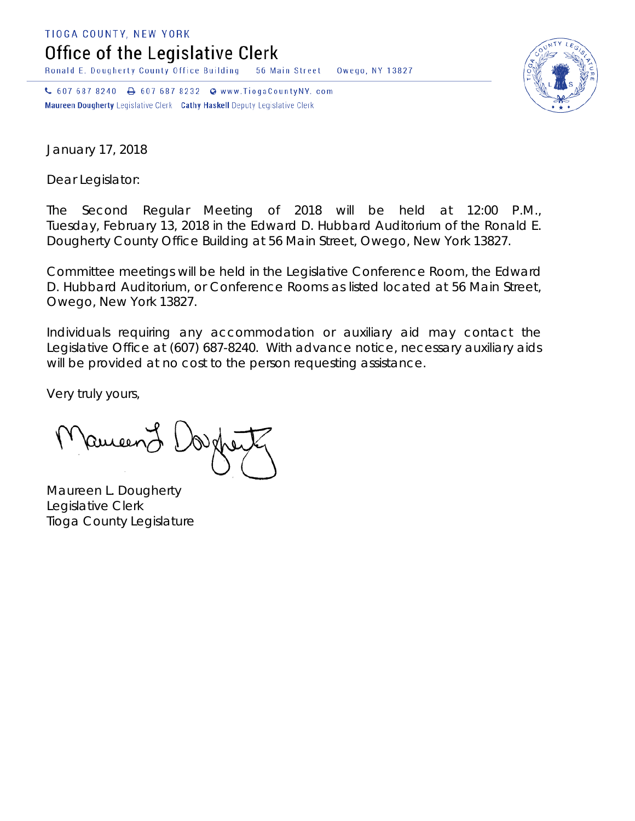TIOGA COUNTY, NEW YORK

Office of the Legislative Clerk

Ronald E. Dougherty County Office Building 56 Main Street Owego, NY 13827

↓ 607 687 8240 → 607 687 8232 → www.TiogaCountyNY.com Maureen Dougherty Legislative Clerk Cathy Haskell Deputy Legislative Clerk



January 17, 2018

Dear Legislator:

The Second Regular Meeting of 2018 will be held at 12:00 P.M., Tuesday, February 13, 2018 in the Edward D. Hubbard Auditorium of the Ronald E. Dougherty County Office Building at 56 Main Street, Owego, New York 13827.

Committee meetings will be held in the Legislative Conference Room, the Edward D. Hubbard Auditorium, or Conference Rooms as listed located at 56 Main Street, Owego, New York 13827.

Individuals requiring any accommodation or auxiliary aid may contact the Legislative Office at (607) 687-8240. With advance notice, necessary auxiliary aids will be provided at no cost to the person requesting assistance.

Very truly yours,

Remeend

Maureen L. Dougherty Legislative Clerk Tioga County Legislature